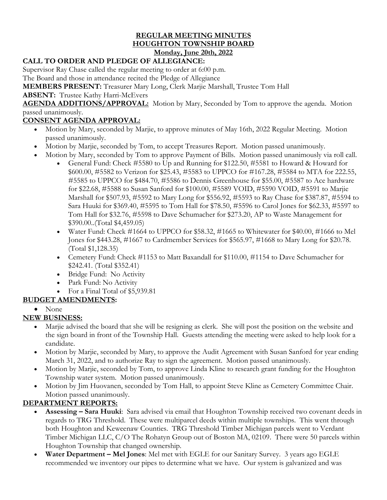#### **REGULAR MEETING MINUTES HOUGHTON TOWNSHIP BOARD Monday, June 20th, 2022**

### **CALL TO ORDER AND PLEDGE OF ALLEGIANCE:**

Supervisor Ray Chase called the regular meeting to order at 6:00 p.m.

The Board and those in attendance recited the Pledge of Allegiance

**MEMBERS PRESENT:** Treasurer Mary Long, Clerk Marjie Marshall, Trustee Tom Hall

**ABSENT:** Trustee Kathy Harri-McEvers

**AGENDA ADDITIONS/APPROVAL:** Motion by Mary, Seconded by Tom to approve the agenda. Motion passed unanimously.

### **CONSENT AGENDA APPROVAL:**

- Motion by Mary, seconded by Marjie, to approve minutes of May 16th, 2022 Regular Meeting. Motion passed unanimously.
- Motion by Marjie, seconded by Tom, to accept Treasures Report. Motion passed unanimously.
- Motion by Mary, seconded by Tom to approve Payment of Bills. Motion passed unanimously via roll call.
	- General Fund: Check #5580 to Up and Running for \$122.50, #5581 to Howard & Howard for \$600.00, #5582 to Verizon for \$25.43, #5583 to UPPCO for #167.28, #5584 to MTA for 222.55, #5585 to UPPCO for \$484.70, #5586 to Dennis Greenhouse for \$55.00, #5587 to Ace hardware for \$22.68, #5588 to Susan Sanford for \$100.00, #5589 VOID, #5590 VOID, #5591 to Marjie Marshall for \$507.93, #5592 to Mary Long for \$556.92, #5593 to Ray Chase for \$387.87, #5594 to Sara Huuki for \$369.40, #5595 to Tom Hall for \$78.50, #5596 to Carol Jones for \$62.33, #5597 to Tom Hall for \$32.76, #5598 to Dave Schumacher for \$273.20, AP to Waste Management for \$390.00..(Total \$4,459.05)
	- Water Fund: Check #1664 to UPPCO for \$58.32, #1665 to Whitewater for \$40.00, #1666 to Mel Jones for \$443.28, #1667 to Cardmember Services for \$565.97, #1668 to Mary Long for \$20.78. (Total \$1,128.35)
	- Cemetery Fund: Check #1153 to Matt Baxandall for \$110.00, #1154 to Dave Schumacher for \$242.41. (Total \$352.41)
	- Bridge Fund: No Activity
	- Park Fund: No Activity
	- For a Final Total of \$5,939.81

### **BUDGET AMENDMENTS:**

• None

# **NEW BUSINESS:**

- Marjie advised the board that she will be resigning as clerk. She will post the position on the website and the sign board in front of the Township Hall. Guests attending the meeting were asked to help look for a candidate.
- Motion by Marjie, seconded by Mary, to approve the Audit Agreement with Susan Sanford for year ending March 31, 2022, and to authorize Ray to sign the agreement. Motion passed unanimously.
- Motion by Marjie, seconded by Tom, to approve Linda Kline to research grant funding for the Houghton Township water system. Motion passed unanimously.
- Motion by Jim Huovanen, seconded by Tom Hall, to appoint Steve Kline as Cemetery Committee Chair. Motion passed unanimously.

### **DEPARTMENT REPORTS:**

- **Assessing – Sara Huuki**: Sara advised via email that Houghton Township received two covenant deeds in regards to TRG Threshold. These were multiparcel deeds within multiple townships. This went through both Houghton and Keweenaw Counties. TRG Threshold Timber Michigan parcels went to Verdant Timber Michigan LLC, C/O The Rohatyn Group out of Boston MA, 02109. There were 50 parcels within Houghton Township that changed ownership.
- **Water Department – Mel Jones**: Mel met with EGLE for our Sanitary Survey. 3 years ago EGLE recommended we inventory our pipes to determine what we have. Our system is galvanized and was